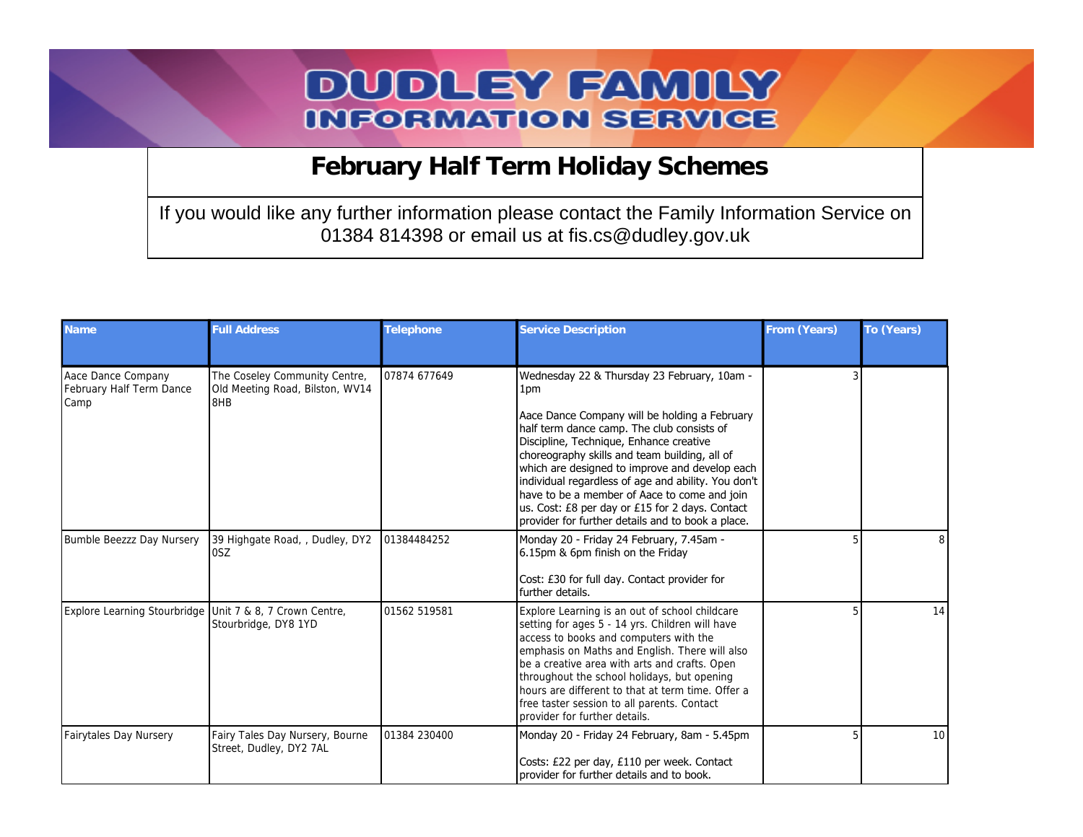## **DUDLEY FAMILY INFORMATION SERVICE**

 **February Half Term Holiday Schemes**

If you would like any further information please contact the Family Information Service on 01384 814398 or email us at fis.cs@dudley.gov.uk

| <b>Name</b>                                              | <b>Full Address</b>                                                     | Telephone    | <b>Service Description</b>                                                                                                                                                                                                                                                                                                                                                                                                                                                                                     | From (Years) | To (Years)      |
|----------------------------------------------------------|-------------------------------------------------------------------------|--------------|----------------------------------------------------------------------------------------------------------------------------------------------------------------------------------------------------------------------------------------------------------------------------------------------------------------------------------------------------------------------------------------------------------------------------------------------------------------------------------------------------------------|--------------|-----------------|
| Aace Dance Company<br>February Half Term Dance<br>Camp   | The Coseley Community Centre,<br>Old Meeting Road, Bilston, WV14<br>8HB | 07874 677649 | Wednesday 22 & Thursday 23 February, 10am -<br>1pm<br>Aace Dance Company will be holding a February<br>half term dance camp. The club consists of<br>Discipline, Technique, Enhance creative<br>choreography skills and team building, all of<br>which are designed to improve and develop each<br>individual regardless of age and ability. You don't<br>have to be a member of Aace to come and join<br>us. Cost: £8 per day or £15 for 2 days. Contact<br>provider for further details and to book a place. |              |                 |
| Bumble Beezzz Day Nursery                                | 39 Highgate Road, , Dudley, DY2<br>0SZ                                  | 01384484252  | Monday 20 - Friday 24 February, 7.45am -<br>6.15pm & 6pm finish on the Friday<br>Cost: £30 for full day. Contact provider for<br>further details.                                                                                                                                                                                                                                                                                                                                                              |              | 8               |
| Explore Learning Stourbridge Unit 7 & 8, 7 Crown Centre, | Stourbridge, DY8 1YD                                                    | 01562 519581 | Explore Learning is an out of school childcare<br>setting for ages 5 - 14 yrs. Children will have<br>access to books and computers with the<br>emphasis on Maths and English. There will also<br>be a creative area with arts and crafts. Open<br>throughout the school holidays, but opening<br>hours are different to that at term time. Offer a<br>free taster session to all parents. Contact<br>provider for further details.                                                                             |              | 14              |
| Fairytales Day Nursery                                   | Fairy Tales Day Nursery, Bourne<br>Street, Dudley, DY2 7AL              | 01384 230400 | Monday 20 - Friday 24 February, 8am - 5.45pm<br>Costs: £22 per day, £110 per week. Contact<br>provider for further details and to book.                                                                                                                                                                                                                                                                                                                                                                        |              | 10 <sup>1</sup> |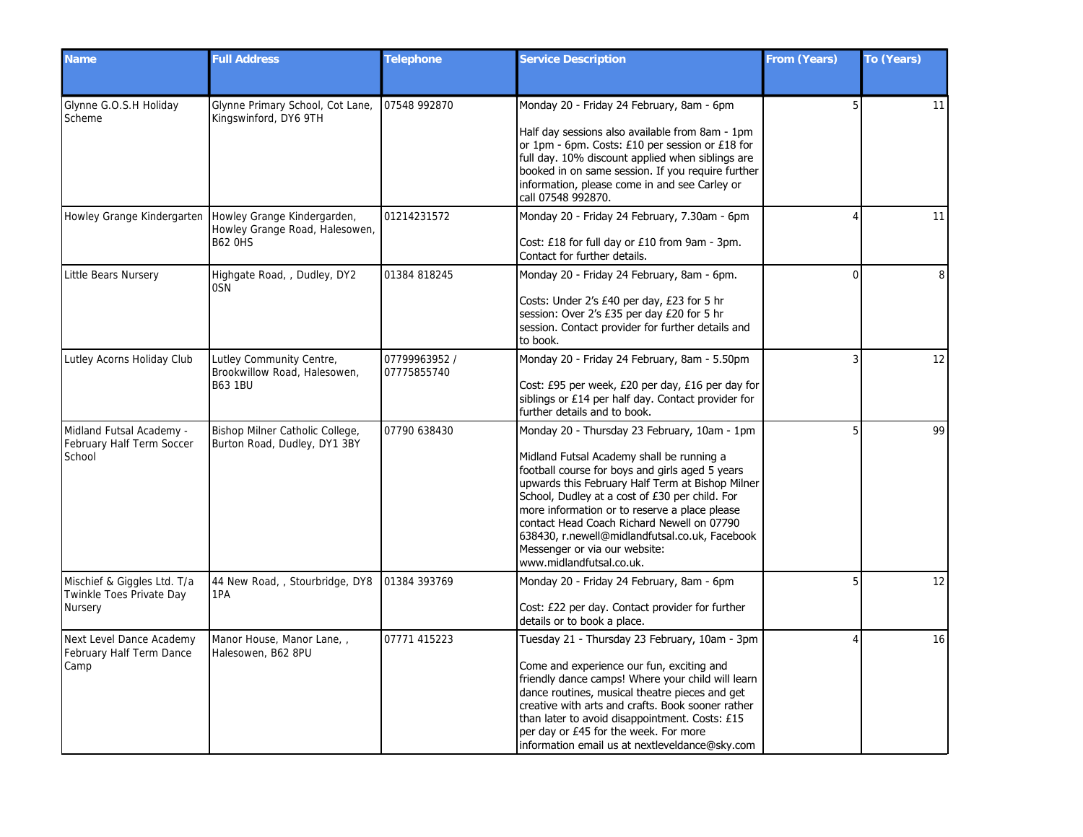| Name                                                               | <b>Full Address</b>                                                             | Telephone                    | <b>Service Description</b>                                                                                                                                                                                                                                                                                                                                                                                                                                       | From (Years) | To (Years) |
|--------------------------------------------------------------------|---------------------------------------------------------------------------------|------------------------------|------------------------------------------------------------------------------------------------------------------------------------------------------------------------------------------------------------------------------------------------------------------------------------------------------------------------------------------------------------------------------------------------------------------------------------------------------------------|--------------|------------|
| Glynne G.O.S.H Holiday<br>Scheme                                   | Glynne Primary School, Cot Lane,<br>Kingswinford, DY6 9TH                       | 07548 992870                 | Monday 20 - Friday 24 February, 8am - 6pm<br>Half day sessions also available from 8am - 1pm<br>or 1pm - 6pm. Costs: £10 per session or £18 for<br>full day. 10% discount applied when siblings are<br>booked in on same session. If you require further<br>information, please come in and see Carley or<br>call 07548 992870.                                                                                                                                  | 5            | 11         |
| Howley Grange Kindergarten                                         | Howley Grange Kindergarden,<br>Howley Grange Road, Halesowen,<br><b>B62 OHS</b> | 01214231572                  | Monday 20 - Friday 24 February, 7.30am - 6pm<br>Cost: £18 for full day or £10 from 9am - 3pm.<br>Contact for further details.                                                                                                                                                                                                                                                                                                                                    |              | 11         |
| Little Bears Nursery                                               | Highgate Road,, Dudley, DY2<br>0SN                                              | 01384 818245                 | Monday 20 - Friday 24 February, 8am - 6pm.<br>Costs: Under 2's £40 per day, £23 for 5 hr<br>session: Over 2's £35 per day £20 for 5 hr<br>session. Contact provider for further details and<br>to book.                                                                                                                                                                                                                                                          | $\Omega$     | 8          |
| Lutley Acorns Holiday Club                                         | Lutley Community Centre,<br>Brookwillow Road, Halesowen,<br><b>B63 1BU</b>      | 07799963952 /<br>07775855740 | Monday 20 - Friday 24 February, 8am - 5.50pm<br>Cost: £95 per week, £20 per day, £16 per day for<br>siblings or £14 per half day. Contact provider for<br>further details and to book.                                                                                                                                                                                                                                                                           |              | 12         |
| Midland Futsal Academy -<br>February Half Term Soccer<br>School    | Bishop Milner Catholic College,<br>Burton Road, Dudley, DY1 3BY                 | 07790 638430                 | Monday 20 - Thursday 23 February, 10am - 1pm<br>Midland Futsal Academy shall be running a<br>football course for boys and girls aged 5 years<br>upwards this February Half Term at Bishop Milner<br>School, Dudley at a cost of £30 per child. For<br>more information or to reserve a place please<br>contact Head Coach Richard Newell on 07790<br>638430, r.newell@midlandfutsal.co.uk, Facebook<br>Messenger or via our website:<br>www.midlandfutsal.co.uk. |              | 99         |
| Mischief & Giggles Ltd. T/a<br>Twinkle Toes Private Day<br>Nursery | 44 New Road, , Stourbridge, DY8<br>1PA                                          | 01384 393769                 | Monday 20 - Friday 24 February, 8am - 6pm<br>Cost: £22 per day. Contact provider for further<br>details or to book a place.                                                                                                                                                                                                                                                                                                                                      |              | 12         |
| Next Level Dance Academy<br>February Half Term Dance<br>Camp       | Manor House, Manor Lane, ,<br>Halesowen, B62 8PU                                | 07771 415223                 | Tuesday 21 - Thursday 23 February, 10am - 3pm<br>Come and experience our fun, exciting and<br>friendly dance camps! Where your child will learn<br>dance routines, musical theatre pieces and get<br>creative with arts and crafts. Book sooner rather<br>than later to avoid disappointment. Costs: £15<br>per day or £45 for the week. For more<br>information email us at nextleveldance@sky.com                                                              |              | 16         |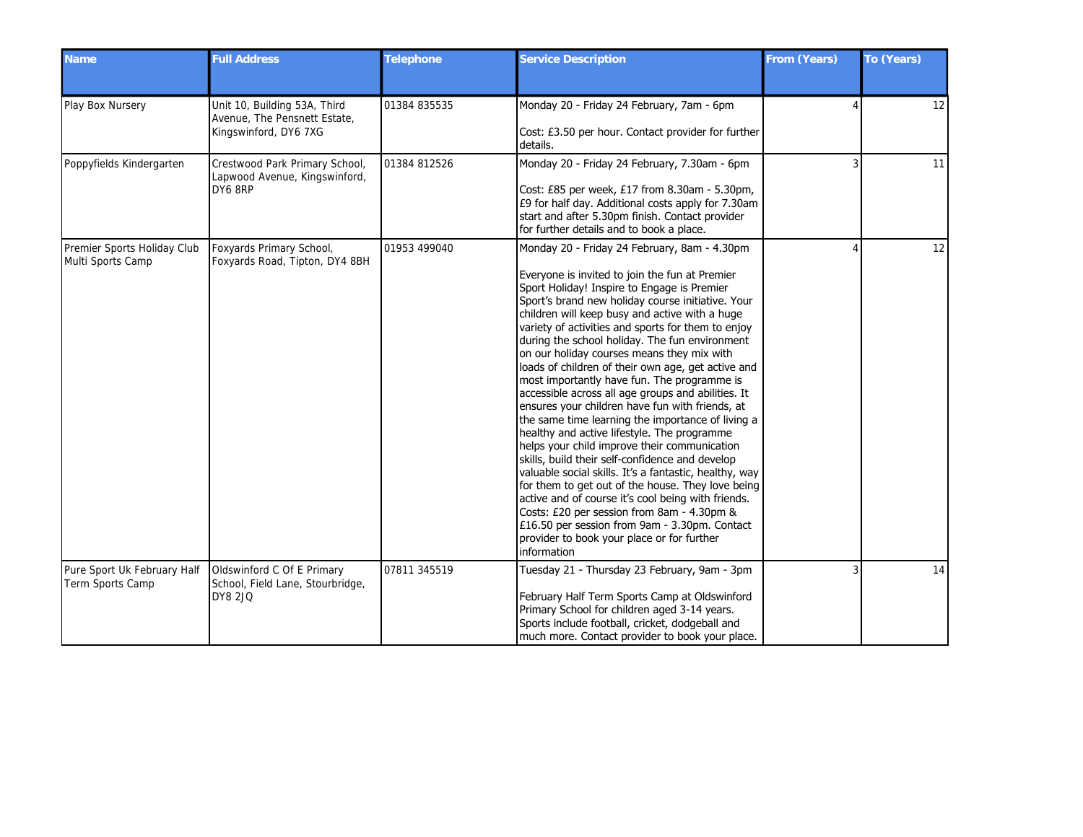| Name                                             | <b>Full Address</b>                                                                   | Telephone    | <b>Service Description</b>                                                                                                                                                                                                                                                                                                                                                                                                                                                                                                                                                                                                                                                                                                                                                                                                                                                                                                                                                                                                                                                                                                                                       | From (Years) | To (Years) |
|--------------------------------------------------|---------------------------------------------------------------------------------------|--------------|------------------------------------------------------------------------------------------------------------------------------------------------------------------------------------------------------------------------------------------------------------------------------------------------------------------------------------------------------------------------------------------------------------------------------------------------------------------------------------------------------------------------------------------------------------------------------------------------------------------------------------------------------------------------------------------------------------------------------------------------------------------------------------------------------------------------------------------------------------------------------------------------------------------------------------------------------------------------------------------------------------------------------------------------------------------------------------------------------------------------------------------------------------------|--------------|------------|
| Play Box Nursery                                 | Unit 10, Building 53A, Third<br>Avenue, The Pensnett Estate,<br>Kingswinford, DY6 7XG | 01384 835535 | Monday 20 - Friday 24 February, 7am - 6pm<br>Cost: £3.50 per hour. Contact provider for further<br>details.                                                                                                                                                                                                                                                                                                                                                                                                                                                                                                                                                                                                                                                                                                                                                                                                                                                                                                                                                                                                                                                      |              | 12         |
| Poppyfields Kindergarten                         | Crestwood Park Primary School,<br>Lapwood Avenue, Kingswinford,<br>DY6 8RP            | 01384 812526 | Monday 20 - Friday 24 February, 7.30am - 6pm<br>Cost: £85 per week, £17 from 8.30am - 5.30pm,<br>£9 for half day. Additional costs apply for 7.30am<br>start and after 5.30pm finish. Contact provider<br>for further details and to book a place.                                                                                                                                                                                                                                                                                                                                                                                                                                                                                                                                                                                                                                                                                                                                                                                                                                                                                                               |              | 11         |
| Premier Sports Holiday Club<br>Multi Sports Camp | Foxyards Primary School,<br>Foxyards Road, Tipton, DY4 8BH                            | 01953 499040 | Monday 20 - Friday 24 February, 8am - 4.30pm<br>Everyone is invited to join the fun at Premier<br>Sport Holiday! Inspire to Engage is Premier<br>Sport's brand new holiday course initiative. Your<br>children will keep busy and active with a huge<br>variety of activities and sports for them to enjoy<br>during the school holiday. The fun environment<br>on our holiday courses means they mix with<br>loads of children of their own age, get active and<br>most importantly have fun. The programme is<br>accessible across all age groups and abilities. It<br>ensures your children have fun with friends, at<br>the same time learning the importance of living a<br>healthy and active lifestyle. The programme<br>helps your child improve their communication<br>skills, build their self-confidence and develop<br>valuable social skills. It's a fantastic, healthy, way<br>for them to get out of the house. They love being<br>active and of course it's cool being with friends.<br>Costs: £20 per session from 8am - 4.30pm &<br>£16.50 per session from 9am - 3.30pm. Contact<br>provider to book your place or for further<br>information |              | 12         |
| Pure Sport Uk February Half<br>Term Sports Camp  | Oldswinford C Of E Primary<br>School, Field Lane, Stourbridge,<br><b>DY8 2JQ</b>      | 07811 345519 | Tuesday 21 - Thursday 23 February, 9am - 3pm<br>February Half Term Sports Camp at Oldswinford<br>Primary School for children aged 3-14 years.<br>Sports include football, cricket, dodgeball and<br>much more. Contact provider to book your place.                                                                                                                                                                                                                                                                                                                                                                                                                                                                                                                                                                                                                                                                                                                                                                                                                                                                                                              |              | 14         |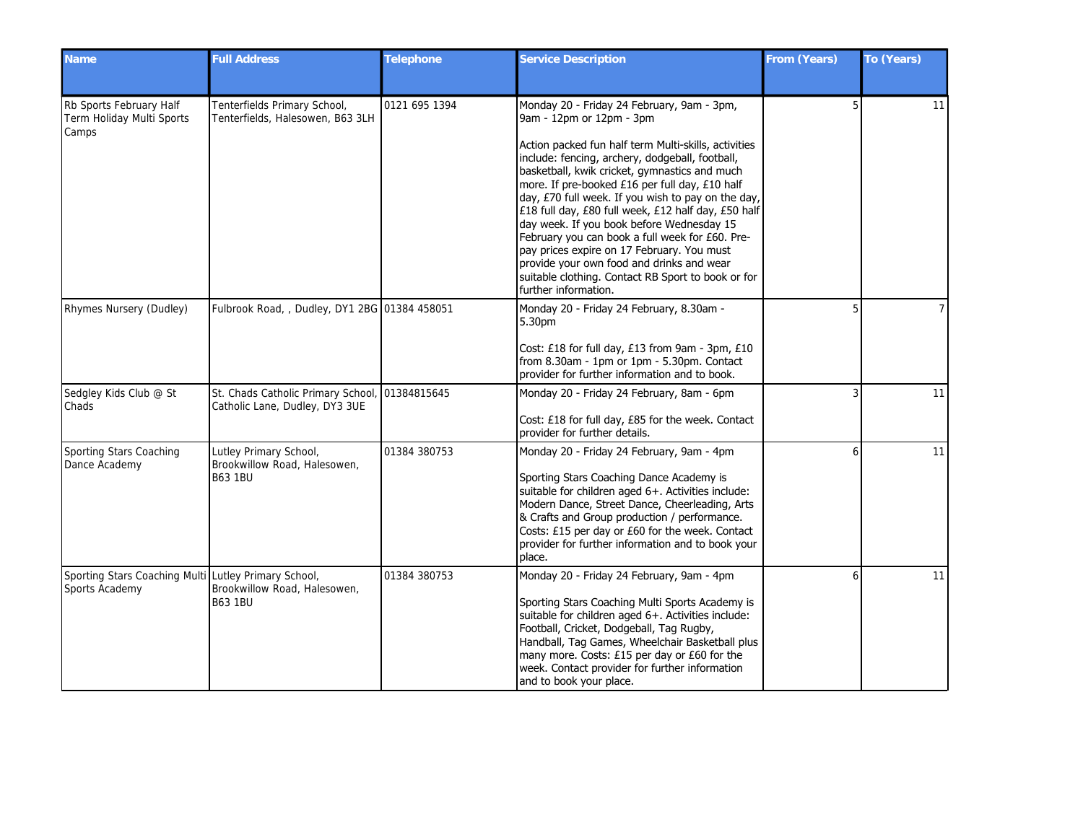| <b>Name</b>                                                            | <b>Full Address</b>                                                      | Telephone     | <b>Service Description</b>                                                                                                                                                                                                                                                                                                                                                                                                                                                                                                                                                                                                                                                 | From (Years) | To (Years)     |
|------------------------------------------------------------------------|--------------------------------------------------------------------------|---------------|----------------------------------------------------------------------------------------------------------------------------------------------------------------------------------------------------------------------------------------------------------------------------------------------------------------------------------------------------------------------------------------------------------------------------------------------------------------------------------------------------------------------------------------------------------------------------------------------------------------------------------------------------------------------------|--------------|----------------|
| Rb Sports February Half<br>Term Holiday Multi Sports<br>Camps          | Tenterfields Primary School,<br>Tenterfields, Halesowen, B63 3LH         | 0121 695 1394 | Monday 20 - Friday 24 February, 9am - 3pm,<br>9am - 12pm or 12pm - 3pm<br>Action packed fun half term Multi-skills, activities<br>include: fencing, archery, dodgeball, football,<br>basketball, kwik cricket, gymnastics and much<br>more. If pre-booked £16 per full day, £10 half<br>day, £70 full week. If you wish to pay on the day,<br>£18 full day, £80 full week, £12 half day, £50 half<br>day week. If you book before Wednesday 15<br>February you can book a full week for £60. Pre-<br>pay prices expire on 17 February. You must<br>provide your own food and drinks and wear<br>suitable clothing. Contact RB Sport to book or for<br>further information. |              | 11             |
| Rhymes Nursery (Dudley)                                                | Fulbrook Road, , Dudley, DY1 2BG 01384 458051                            |               | Monday 20 - Friday 24 February, 8.30am -<br>5.30pm<br>Cost: £18 for full day, £13 from 9am - 3pm, £10<br>from 8.30am - 1pm or 1pm - 5.30pm. Contact<br>provider for further information and to book.                                                                                                                                                                                                                                                                                                                                                                                                                                                                       |              | $\overline{7}$ |
| Sedgley Kids Club @ St<br>Chads                                        | St. Chads Catholic Primary School,<br>Catholic Lane, Dudley, DY3 3UE     | 01384815645   | Monday 20 - Friday 24 February, 8am - 6pm<br>Cost: £18 for full day, £85 for the week. Contact<br>provider for further details.                                                                                                                                                                                                                                                                                                                                                                                                                                                                                                                                            |              | 11             |
| Sporting Stars Coaching<br>Dance Academy                               | Lutley Primary School,<br>Brookwillow Road, Halesowen,<br><b>B63 1BU</b> | 01384 380753  | Monday 20 - Friday 24 February, 9am - 4pm<br>Sporting Stars Coaching Dance Academy is<br>suitable for children aged 6+. Activities include:<br>Modern Dance, Street Dance, Cheerleading, Arts<br>& Crafts and Group production / performance.<br>Costs: £15 per day or £60 for the week. Contact<br>provider for further information and to book your<br>place.                                                                                                                                                                                                                                                                                                            |              | 11             |
| Sporting Stars Coaching Multi Lutley Primary School,<br>Sports Academy | Brookwillow Road, Halesowen,<br><b>B63 1BU</b>                           | 01384 380753  | Monday 20 - Friday 24 February, 9am - 4pm<br>Sporting Stars Coaching Multi Sports Academy is<br>suitable for children aged 6+. Activities include:<br>Football, Cricket, Dodgeball, Tag Rugby,<br>Handball, Tag Games, Wheelchair Basketball plus<br>many more. Costs: £15 per day or £60 for the<br>week. Contact provider for further information<br>and to book your place.                                                                                                                                                                                                                                                                                             |              | 11             |